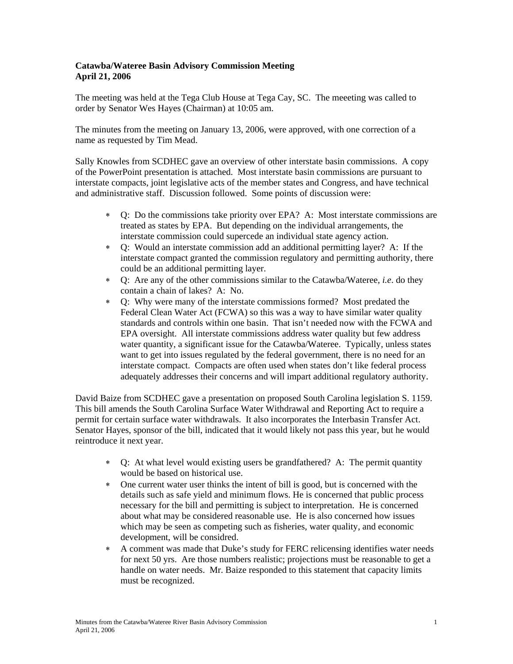## **Catawba/Wateree Basin Advisory Commission Meeting April 21, 2006**

The meeting was held at the Tega Club House at Tega Cay, SC. The meeeting was called to order by Senator Wes Hayes (Chairman) at 10:05 am.

The minutes from the meeting on January 13, 2006, were approved, with one correction of a name as requested by Tim Mead.

Sally Knowles from SCDHEC gave an overview of other interstate basin commissions. A copy of the PowerPoint presentation is attached. Most interstate basin commissions are pursuant to interstate compacts, joint legislative acts of the member states and Congress, and have technical and administrative staff. Discussion followed. Some points of discussion were:

- Q: Do the commissions take priority over EPA? A: Most interstate commissions are treated as states by EPA. But depending on the individual arrangements, the interstate commission could supercede an individual state agency action.
- ∗ Q: Would an interstate commission add an additional permitting layer? A: If the interstate compact granted the commission regulatory and permitting authority, there could be an additional permitting layer.
- ∗ Q: Are any of the other commissions similar to the Catawba/Wateree, *i.e*. do they contain a chain of lakes? A: No.
- ∗ Q: Why were many of the interstate commissions formed? Most predated the Federal Clean Water Act (FCWA) so this was a way to have similar water quality standards and controls within one basin. That isn't needed now with the FCWA and EPA oversight. All interstate commissions address water quality but few address water quantity, a significant issue for the Catawba/Wateree. Typically, unless states want to get into issues regulated by the federal government, there is no need for an interstate compact. Compacts are often used when states don't like federal process adequately addresses their concerns and will impart additional regulatory authority.

David Baize from SCDHEC gave a presentation on proposed South Carolina legislation S. 1159. This bill amends the South Carolina Surface Water Withdrawal and Reporting Act to require a permit for certain surface water withdrawals. It also incorporates the Interbasin Transfer Act. Senator Hayes, sponsor of the bill, indicated that it would likely not pass this year, but he would reintroduce it next year.

- ∗ Q: At what level would existing users be grandfathered? A: The permit quantity would be based on historical use.
- ∗ One current water user thinks the intent of bill is good, but is concerned with the details such as safe yield and minimum flows. He is concerned that public process necessary for the bill and permitting is subject to interpretation. He is concerned about what may be considered reasonable use. He is also concerned how issues which may be seen as competing such as fisheries, water quality, and economic development, will be considred.
- ∗ A comment was made that Duke's study for FERC relicensing identifies water needs for next 50 yrs. Are those numbers realistic; projections must be reasonable to get a handle on water needs. Mr. Baize responded to this statement that capacity limits must be recognized.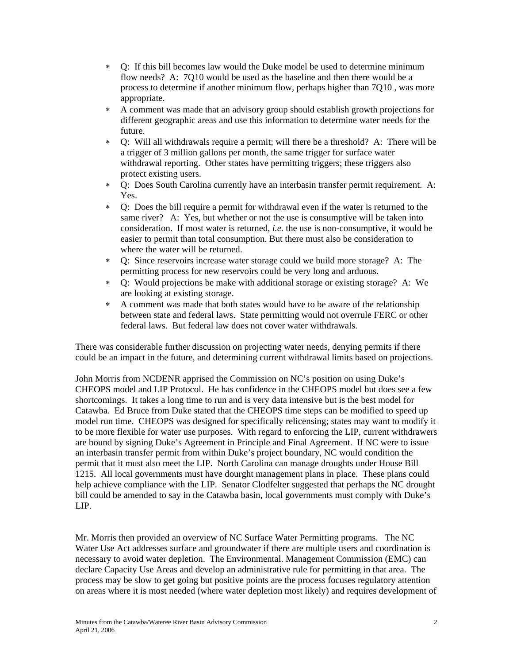- ∗ Q: If this bill becomes law would the Duke model be used to determine minimum flow needs? A: 7Q10 would be used as the baseline and then there would be a process to determine if another minimum flow, perhaps higher than 7Q10 , was more appropriate.
- ∗ A comment was made that an advisory group should establish growth projections for different geographic areas and use this information to determine water needs for the future.
- ∗ Q: Will all withdrawals require a permit; will there be a threshold? A: There will be a trigger of 3 million gallons per month, the same trigger for surface water withdrawal reporting. Other states have permitting triggers; these triggers also protect existing users.
- ∗ Q: Does South Carolina currently have an interbasin transfer permit requirement. A: Yes.
- ∗ Q: Does the bill require a permit for withdrawal even if the water is returned to the same river? A: Yes, but whether or not the use is consumptive will be taken into consideration. If most water is returned, *i.e.* the use is non-consumptive, it would be easier to permit than total consumption. But there must also be consideration to where the water will be returned.
- ∗ Q: Since reservoirs increase water storage could we build more storage? A: The permitting process for new reservoirs could be very long and arduous.
- ∗ Q: Would projections be make with additional storage or existing storage? A: We are looking at existing storage.
- ∗ A comment was made that both states would have to be aware of the relationship between state and federal laws. State permitting would not overrule FERC or other federal laws. But federal law does not cover water withdrawals.

There was considerable further discussion on projecting water needs, denying permits if there could be an impact in the future, and determining current withdrawal limits based on projections.

John Morris from NCDENR apprised the Commission on NC's position on using Duke's CHEOPS model and LIP Protocol. He has confidence in the CHEOPS model but does see a few shortcomings. It takes a long time to run and is very data intensive but is the best model for Catawba. Ed Bruce from Duke stated that the CHEOPS time steps can be modified to speed up model run time. CHEOPS was designed for specifically relicensing; states may want to modify it to be more flexible for water use purposes. With regard to enforcing the LIP, current withdrawers are bound by signing Duke's Agreement in Principle and Final Agreement. If NC were to issue an interbasin transfer permit from within Duke's project boundary, NC would condition the permit that it must also meet the LIP. North Carolina can manage droughts under House Bill 1215. All local governments must have dourght management plans in place. These plans could help achieve compliance with the LIP. Senator Clodfelter suggested that perhaps the NC drought bill could be amended to say in the Catawba basin, local governments must comply with Duke's LIP.

Mr. Morris then provided an overview of NC Surface Water Permitting programs. The NC Water Use Act addresses surface and groundwater if there are multiple users and coordination is necessary to avoid water depletion. The Environmental. Management Commission (EMC) can declare Capacity Use Areas and develop an administrative rule for permitting in that area. The process may be slow to get going but positive points are the process focuses regulatory attention on areas where it is most needed (where water depletion most likely) and requires development of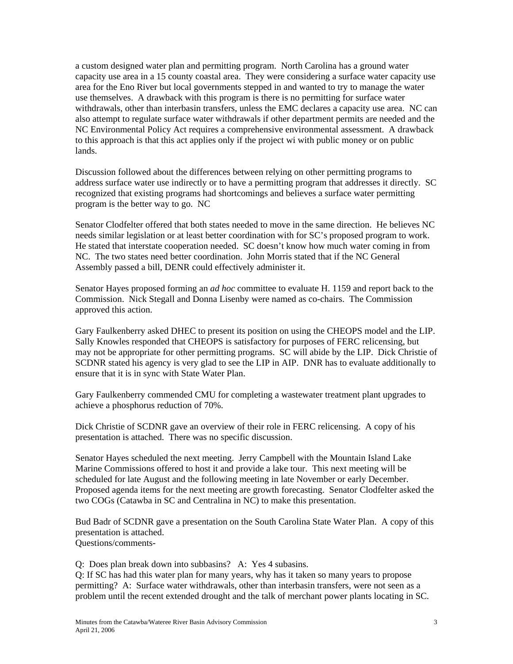a custom designed water plan and permitting program. North Carolina has a ground water capacity use area in a 15 county coastal area. They were considering a surface water capacity use area for the Eno River but local governments stepped in and wanted to try to manage the water use themselves. A drawback with this program is there is no permitting for surface water withdrawals, other than interbasin transfers, unless the EMC declares a capacity use area. NC can also attempt to regulate surface water withdrawals if other department permits are needed and the NC Environmental Policy Act requires a comprehensive environmental assessment. A drawback to this approach is that this act applies only if the project wi with public money or on public lands.

Discussion followed about the differences between relying on other permitting programs to address surface water use indirectly or to have a permitting program that addresses it directly. SC recognized that existing programs had shortcomings and believes a surface water permitting program is the better way to go. NC

Senator Clodfelter offered that both states needed to move in the same direction. He believes NC needs similar legislation or at least better coordination with for SC's proposed program to work. He stated that interstate cooperation needed. SC doesn't know how much water coming in from NC. The two states need better coordination. John Morris stated that if the NC General Assembly passed a bill, DENR could effectively administer it.

Senator Hayes proposed forming an *ad hoc* committee to evaluate H. 1159 and report back to the Commission. Nick Stegall and Donna Lisenby were named as co-chairs. The Commission approved this action.

Gary Faulkenberry asked DHEC to present its position on using the CHEOPS model and the LIP. Sally Knowles responded that CHEOPS is satisfactory for purposes of FERC relicensing, but may not be appropriate for other permitting programs. SC will abide by the LIP. Dick Christie of SCDNR stated his agency is very glad to see the LIP in AIP. DNR has to evaluate additionally to ensure that it is in sync with State Water Plan.

Gary Faulkenberry commended CMU for completing a wastewater treatment plant upgrades to achieve a phosphorus reduction of 70%.

Dick Christie of SCDNR gave an overview of their role in FERC relicensing. A copy of his presentation is attached. There was no specific discussion.

Senator Hayes scheduled the next meeting. Jerry Campbell with the Mountain Island Lake Marine Commissions offered to host it and provide a lake tour. This next meeting will be scheduled for late August and the following meeting in late November or early December. Proposed agenda items for the next meeting are growth forecasting. Senator Clodfelter asked the two COGs (Catawba in SC and Centralina in NC) to make this presentation.

Bud Badr of SCDNR gave a presentation on the South Carolina State Water Plan. A copy of this presentation is attached. Questions/comments-

Q: Does plan break down into subbasins? A: Yes 4 subasins.

Q: If SC has had this water plan for many years, why has it taken so many years to propose permitting? A: Surface water withdrawals, other than interbasin transfers, were not seen as a problem until the recent extended drought and the talk of merchant power plants locating in SC.